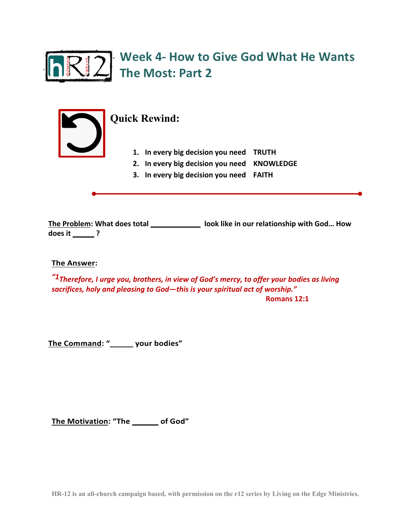



## **Quick Rewind:**

- **1. In every big decision you need TRUTH**
- **2. In every big decision you need KNOWLEDGE**
- **3. In every big decision you need FAITH**

The Problem: What does total \_\_\_\_\_\_\_\_\_\_\_\_\_\_\_ look like in our relationship with God... How **does it \_\_\_\_\_\_?** 

**The Answer:**

*"1Therefore, I urge you, brothers, in view of God's mercy, to offer your bodies as living sacrifices, holy and pleasing to God—this is your spiritual act of worship."* **Romans 12:1** 

The Command: " **CHER BR AN EXECUTE:** your bodies"

**The Motivation: "The \_\_\_\_\_\_ of God"**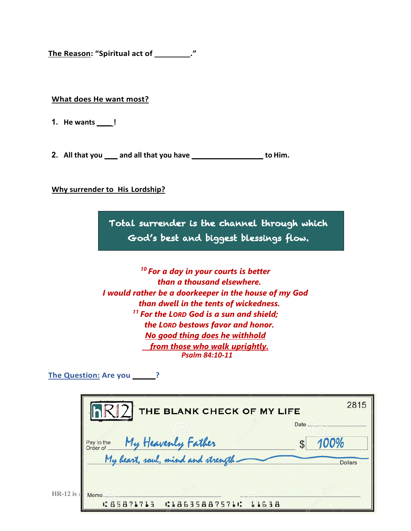**The Reason: "Spiritual act of WoRSHIP."** 

#### **What does He want most?**

- **1. He wants** \_\_\_\_!
- **2.** All that you <u>cand all that you have surfally surfally because to Him.</u>

#### **Why surrender to His Lordship?**

Total surrender is the channel through which God's best and biggest blessings flow.

Ξ

*<sup>10</sup> For a day in your courts is better than a thousand elsewhere. I would rather be a doorkeeper in the house of my God than dwell in the tents of wickedness. <sup>11</sup> For the LORD God is a sun and shield; the LORD bestows favor and honor. No good thing does he withhold from those who walk uprightly. Psalm 84:10-11*

**The Question: Are you \_\_\_\_\_\_?** 

| Pay to the My Heavenly Father | 100%<br>My heart, soul, mind and strength- | THE BLANK CHECK OF MY LIFE |      | 2815           |
|-------------------------------|--------------------------------------------|----------------------------|------|----------------|
|                               |                                            |                            | Date |                |
|                               |                                            |                            |      | <b>Dollars</b> |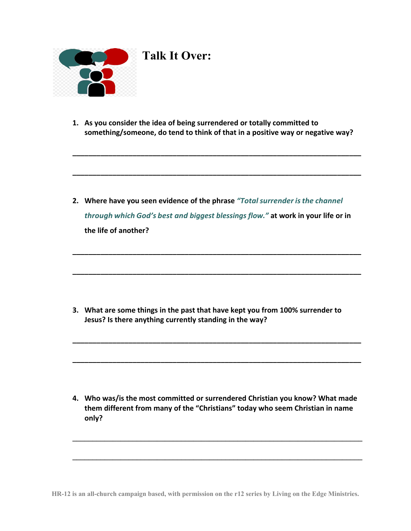

# **Talk It Over:**

**1. As you consider the idea of being surrendered or totally committed to something/someone, do tend to think of that in a positive way or negative way?**

**\_\_\_\_\_\_\_\_\_\_\_\_\_\_\_\_\_\_\_\_\_\_\_\_\_\_\_\_\_\_\_\_\_\_\_\_\_\_\_\_\_\_\_\_\_\_\_\_\_\_\_\_\_\_\_\_\_\_\_\_\_\_\_\_\_\_\_\_\_\_\_\_**

**\_\_\_\_\_\_\_\_\_\_\_\_\_\_\_\_\_\_\_\_\_\_\_\_\_\_\_\_\_\_\_\_\_\_\_\_\_\_\_\_\_\_\_\_\_\_\_\_\_\_\_\_\_\_\_\_\_\_\_\_\_\_\_\_\_\_\_\_\_\_\_\_**

**2. Where have you seen evidence of the phrase** *"Totalsurrender isthe channel through which God's best and biggest blessings flow."* **at work in your life or in the life of another?**

**\_\_\_\_\_\_\_\_\_\_\_\_\_\_\_\_\_\_\_\_\_\_\_\_\_\_\_\_\_\_\_\_\_\_\_\_\_\_\_\_\_\_\_\_\_\_\_\_\_\_\_\_\_\_\_\_\_\_\_\_\_\_\_\_\_\_\_\_\_\_\_\_**

**\_\_\_\_\_\_\_\_\_\_\_\_\_\_\_\_\_\_\_\_\_\_\_\_\_\_\_\_\_\_\_\_\_\_\_\_\_\_\_\_\_\_\_\_\_\_\_\_\_\_\_\_\_\_\_\_\_\_\_\_\_\_\_\_\_\_\_\_\_\_\_\_**

**\_\_\_\_\_\_\_\_\_\_\_\_\_\_\_\_\_\_\_\_\_\_\_\_\_\_\_\_\_\_\_\_\_\_\_\_\_\_\_\_\_\_\_\_\_\_\_\_\_\_\_\_\_\_\_\_\_\_\_\_\_\_\_\_\_\_\_\_\_\_\_\_**

**\_\_\_\_\_\_\_\_\_\_\_\_\_\_\_\_\_\_\_\_\_\_\_\_\_\_\_\_\_\_\_\_\_\_\_\_\_\_\_\_\_\_\_\_\_\_\_\_\_\_\_\_\_\_\_\_\_\_\_\_\_\_\_\_\_\_\_\_\_\_\_\_**

**3. What are some things in the past that have kept you from 100% surrender to Jesus? Is there anything currently standing in the way?**

**4. Who was/is the most committed or surrendered Christian you know? What made them different from many of the "Christians" today who seem Christian in name only?**

 $\mathcal{L}_\mathcal{L} = \mathcal{L}_\mathcal{L} - \mathcal{L}_\mathcal{L}$ 

 $\mathcal{L}_\mathcal{L} = \mathcal{L}_\mathcal{L} - \mathcal{L}_\mathcal{L}$ 

**HR-12 is an all-church campaign based, with permission on the r12 series by Living on the Edge Ministries.**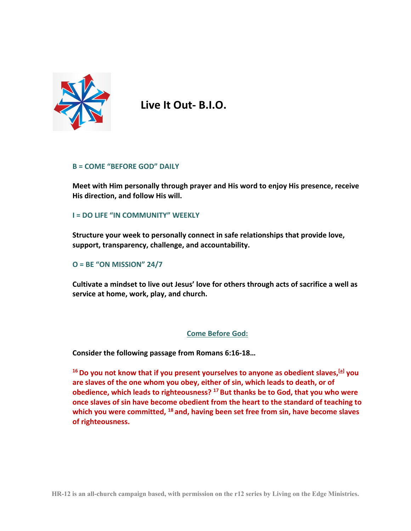

**Live It Out- B.I.O.**

#### **B = COME "BEFORE GOD" DAILY**

**Meet with Him personally through prayer and His word to enjoy His presence, receive His direction, and follow His will.** 

### **I = DO LIFE "IN COMMUNITY" WEEKLY**

**Structure your week to personally connect in safe relationships that provide love, support, transparency, challenge, and accountability.** 

#### **O = BE "ON MISSION" 24/7**

**Cultivate a mindset to live out Jesus' love for others through acts of sacrifice a well as service at home, work, play, and church.** 

#### **Come Before God:**

**Consider the following passage from Romans 6:16-18…**

**16Do you not know that if you present yourselves to anyone as obedient slaves,[a] you are slaves of the one whom you obey, either of sin, which leads to death, or of obedience, which leads to righteousness? <sup>17</sup> But thanks be to God, that you who were once slaves of sin have become obedient from the heart to the standard of teaching to which you were committed, <sup>18</sup> and, having been set free from sin, have become slaves of righteousness.**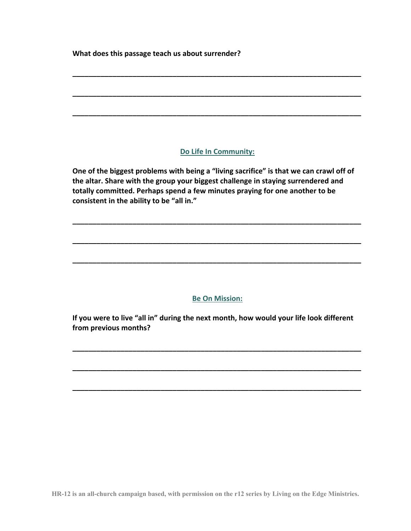**What does this passage teach us about surrender?** 

## **Do Life In Community:**

**\_\_\_\_\_\_\_\_\_\_\_\_\_\_\_\_\_\_\_\_\_\_\_\_\_\_\_\_\_\_\_\_\_\_\_\_\_\_\_\_\_\_\_\_\_\_\_\_\_\_\_\_\_\_\_\_\_\_\_\_\_\_\_\_\_\_\_\_\_\_\_\_**

**\_\_\_\_\_\_\_\_\_\_\_\_\_\_\_\_\_\_\_\_\_\_\_\_\_\_\_\_\_\_\_\_\_\_\_\_\_\_\_\_\_\_\_\_\_\_\_\_\_\_\_\_\_\_\_\_\_\_\_\_\_\_\_\_\_\_\_\_\_\_\_\_**

**\_\_\_\_\_\_\_\_\_\_\_\_\_\_\_\_\_\_\_\_\_\_\_\_\_\_\_\_\_\_\_\_\_\_\_\_\_\_\_\_\_\_\_\_\_\_\_\_\_\_\_\_\_\_\_\_\_\_\_\_\_\_\_\_\_\_\_\_\_\_\_\_**

**One of the biggest problems with being a "living sacrifice" is that we can crawl off of the altar. Share with the group your biggest challenge in staying surrendered and totally committed. Perhaps spend a few minutes praying for one another to be consistent in the ability to be "all in."** 

**\_\_\_\_\_\_\_\_\_\_\_\_\_\_\_\_\_\_\_\_\_\_\_\_\_\_\_\_\_\_\_\_\_\_\_\_\_\_\_\_\_\_\_\_\_\_\_\_\_\_\_\_\_\_\_\_\_\_\_\_\_\_\_\_\_\_\_\_\_\_\_\_**

**\_\_\_\_\_\_\_\_\_\_\_\_\_\_\_\_\_\_\_\_\_\_\_\_\_\_\_\_\_\_\_\_\_\_\_\_\_\_\_\_\_\_\_\_\_\_\_\_\_\_\_\_\_\_\_\_\_\_\_\_\_\_\_\_\_\_\_\_\_\_\_\_**

**\_\_\_\_\_\_\_\_\_\_\_\_\_\_\_\_\_\_\_\_\_\_\_\_\_\_\_\_\_\_\_\_\_\_\_\_\_\_\_\_\_\_\_\_\_\_\_\_\_\_\_\_\_\_\_\_\_\_\_\_\_\_\_\_\_\_\_\_\_\_\_\_**

## **Be On Mission:**

**If you were to live "all in" during the next month, how would your life look different from previous months?**

**\_\_\_\_\_\_\_\_\_\_\_\_\_\_\_\_\_\_\_\_\_\_\_\_\_\_\_\_\_\_\_\_\_\_\_\_\_\_\_\_\_\_\_\_\_\_\_\_\_\_\_\_\_\_\_\_\_\_\_\_\_\_\_\_\_\_\_\_\_\_\_\_**

**\_\_\_\_\_\_\_\_\_\_\_\_\_\_\_\_\_\_\_\_\_\_\_\_\_\_\_\_\_\_\_\_\_\_\_\_\_\_\_\_\_\_\_\_\_\_\_\_\_\_\_\_\_\_\_\_\_\_\_\_\_\_\_\_\_\_\_\_\_\_\_\_**

**\_\_\_\_\_\_\_\_\_\_\_\_\_\_\_\_\_\_\_\_\_\_\_\_\_\_\_\_\_\_\_\_\_\_\_\_\_\_\_\_\_\_\_\_\_\_\_\_\_\_\_\_\_\_\_\_\_\_\_\_\_\_\_\_\_\_\_\_\_\_\_\_**